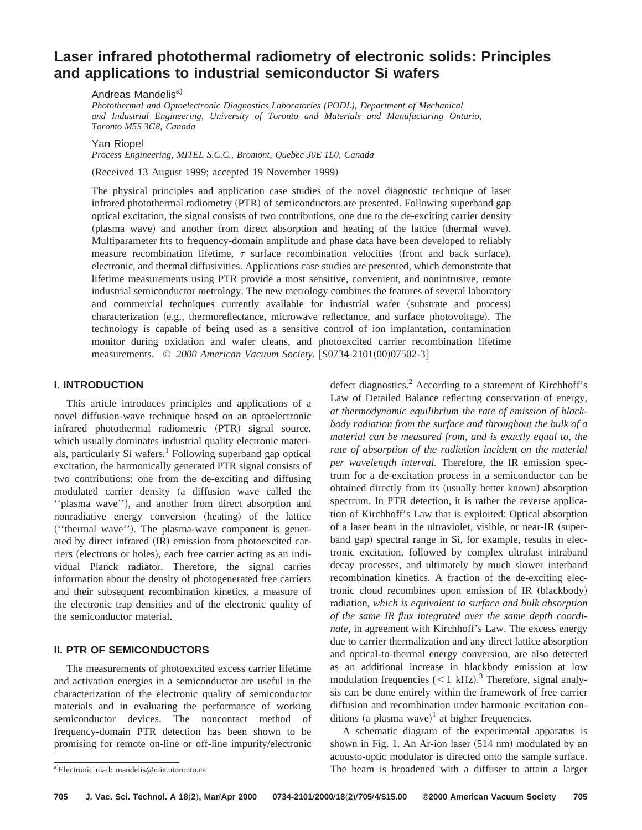# **Laser infrared photothermal radiometry of electronic solids: Principles and applications to industrial semiconductor Si wafers**

*Photothermal and Optoelectronic Diagnostics Laboratories (PODL), Department of Mechanical and Industrial Engineering, University of Toronto and Materials and Manufacturing Ontario, Toronto M5S 3G8, Canada*

### Yan Riopel

*Process Engineering, MITEL S.C.C., Bromont, Quebec J0E 1L0, Canada*

(Received 13 August 1999; accepted 19 November 1999)

The physical principles and application case studies of the novel diagnostic technique of laser infrared photothermal radiometry  $(PTR)$  of semiconductors are presented. Following superband gap optical excitation, the signal consists of two contributions, one due to the de-exciting carrier density (plasma wave) and another from direct absorption and heating of the lattice (thermal wave). Multiparameter fits to frequency-domain amplitude and phase data have been developed to reliably measure recombination lifetime,  $\tau$  surface recombination velocities (front and back surface), electronic, and thermal diffusivities. Applications case studies are presented, which demonstrate that lifetime measurements using PTR provide a most sensitive, convenient, and nonintrusive, remote industrial semiconductor metrology. The new metrology combines the features of several laboratory and commercial techniques currently available for industrial wafer (substrate and process) characterization (e.g., thermoreflectance, microwave reflectance, and surface photovoltage). The technology is capable of being used as a sensitive control of ion implantation, contamination monitor during oxidation and wafer cleans, and photoexcited carrier recombination lifetime measurements. © 2000 American Vacuum Society. [S0734-2101(00)07502-3]

## **I. INTRODUCTION**

This article introduces principles and applications of a novel diffusion-wave technique based on an optoelectronic infrared photothermal radiometric (PTR) signal source, which usually dominates industrial quality electronic materials, particularly Si wafers.<sup>1</sup> Following superband gap optical excitation, the harmonically generated PTR signal consists of two contributions: one from the de-exciting and diffusing modulated carrier density (a diffusion wave called the "plasma wave"), and another from direct absorption and nonradiative energy conversion (heating) of the lattice ("thermal wave"). The plasma-wave component is generated by direct infrared (IR) emission from photoexcited carriers (electrons or holes), each free carrier acting as an individual Planck radiator. Therefore, the signal carries information about the density of photogenerated free carriers and their subsequent recombination kinetics, a measure of the electronic trap densities and of the electronic quality of the semiconductor material.

## **II. PTR OF SEMICONDUCTORS**

The measurements of photoexcited excess carrier lifetime and activation energies in a semiconductor are useful in the characterization of the electronic quality of semiconductor materials and in evaluating the performance of working semiconductor devices. The noncontact method of frequency-domain PTR detection has been shown to be promising for remote on-line or off-line impurity/electronic

defect diagnostics.<sup>2</sup> According to a statement of Kirchhoff's Law of Detailed Balance reflecting conservation of energy, *at thermodynamic equilibrium the rate of emission of blackbody radiation from the surface and throughout the bulk of a material can be measured from, and is exactly equal to, the rate of absorption of the radiation incident on the material per wavelength interval.* Therefore, the IR emission spectrum for a de-excitation process in a semiconductor can be obtained directly from its (usually better known) absorption spectrum. In PTR detection, it is rather the reverse application of Kirchhoff's Law that is exploited: Optical absorption of a laser beam in the ultraviolet, visible, or near-IR (superband gap) spectral range in Si, for example, results in electronic excitation, followed by complex ultrafast intraband decay processes, and ultimately by much slower interband recombination kinetics. A fraction of the de-exciting electronic cloud recombines upon emission of IR (blackbody) radiation, *which is equivalent to surface and bulk absorption of the same IR flux integrated over the same depth coordinate,* in agreement with Kirchhoff's Law. The excess energy due to carrier thermalization and any direct lattice absorption and optical-to-thermal energy conversion, are also detected as an additional increase in blackbody emission at low modulation frequencies  $(< 1$  kHz).<sup>3</sup> Therefore, signal analysis can be done entirely within the framework of free carrier diffusion and recombination under harmonic excitation conditions (a plasma wave)<sup>1</sup> at higher frequencies.

A schematic diagram of the experimental apparatus is shown in Fig. 1. An Ar-ion laser  $(514 \text{ nm})$  modulated by an acousto-optic modulator is directed onto the sample surface. The beam is broadened with a diffuser to attain a larger

Andreas Mandelis<sup>a)</sup>

a)Electronic mail: mandelis@mie.utoronto.ca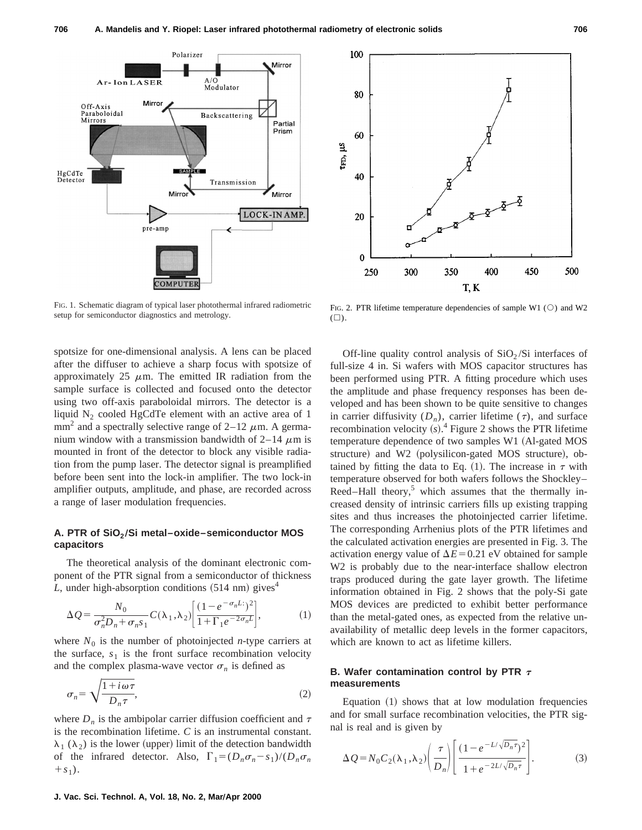

FIG. 1. Schematic diagram of typical laser photothermal infrared radiometric setup for semiconductor diagnostics and metrology.

spotsize for one-dimensional analysis. A lens can be placed after the diffuser to achieve a sharp focus with spotsize of approximately 25  $\mu$ m. The emitted IR radiation from the sample surface is collected and focused onto the detector using two off-axis paraboloidal mirrors. The detector is a liquid  $N_2$  cooled HgCdTe element with an active area of 1 mm<sup>2</sup> and a spectrally selective range of  $2-12 \mu$ m. A germanium window with a transmission bandwidth of  $2-14 \mu m$  is mounted in front of the detector to block any visible radiation from the pump laser. The detector signal is preamplified before been sent into the lock-in amplifier. The two lock-in amplifier outputs, amplitude, and phase, are recorded across a range of laser modulation frequencies.

#### **A. PTR of SiO2 ÕSi metal–oxide–semiconductor MOS capacitors**

The theoretical analysis of the dominant electronic component of the PTR signal from a semiconductor of thickness  $L$ , under high-absorption conditions  $(514 \text{ nm})$  gives<sup>4</sup>

$$
\Delta Q = \frac{N_0}{\sigma_n^2 D_n + \sigma_n s_1} C(\lambda_1, \lambda_2) \left[ \frac{(1 - e^{-\sigma_n L})^2}{1 + \Gamma_1 e^{-2\sigma_n L}} \right],\tag{1}
$$

where  $N_0$  is the number of photoinjected *n*-type carriers at the surface,  $s_1$  is the front surface recombination velocity and the complex plasma-wave vector  $\sigma_n$  is defined as

$$
\sigma_n = \sqrt{\frac{1 + i\omega\tau}{D_n \tau}},\tag{2}
$$

where  $D_n$  is the ambipolar carrier diffusion coefficient and  $\tau$ is the recombination lifetime. *C* is an instrumental constant.  $\lambda_1$  ( $\lambda_2$ ) is the lower (upper) limit of the detection bandwidth of the infrared detector. Also,  $\Gamma_1 = (D_n \sigma_n - s_1)/(D_n \sigma_n)$  $+ s_1$ .



FIG. 2. PTR lifetime temperature dependencies of sample W1  $(\circ)$  and W2  $(\Box).$ 

Off-line quality control analysis of  $SiO<sub>2</sub>/Si$  interfaces of full-size 4 in. Si wafers with MOS capacitor structures has been performed using PTR. A fitting procedure which uses the amplitude and phase frequency responses has been developed and has been shown to be quite sensitive to changes in carrier diffusivity  $(D_n)$ , carrier lifetime  $(\tau)$ , and surface recombination velocity  $(s)$ .<sup>4</sup> Figure 2 shows the PTR lifetime temperature dependence of two samples W1 (Al-gated MOS structure) and W2 (polysilicon-gated MOS structure), obtained by fitting the data to Eq. (1). The increase in  $\tau$  with temperature observed for both wafers follows the Shockley– Reed–Hall theory, $5$  which assumes that the thermally increased density of intrinsic carriers fills up existing trapping sites and thus increases the photoinjected carrier lifetime. The corresponding Arrhenius plots of the PTR lifetimes and the calculated activation energies are presented in Fig. 3. The activation energy value of  $\Delta E$ =0.21 eV obtained for sample W2 is probably due to the near-interface shallow electron traps produced during the gate layer growth. The lifetime information obtained in Fig. 2 shows that the poly-Si gate MOS devices are predicted to exhibit better performance than the metal-gated ones, as expected from the relative unavailability of metallic deep levels in the former capacitors, which are known to act as lifetime killers.

## **B. Wafer contamination control by PTR**  $\tau$ **measurements**

Equation  $(1)$  shows that at low modulation frequencies and for small surface recombination velocities, the PTR signal is real and is given by

$$
\Delta Q = N_0 C_2(\lambda_1, \lambda_2) \left(\frac{\tau}{D_n}\right) \left[\frac{(1 - e^{-L/\sqrt{D_n \tau}})^2}{1 + e^{-2L/\sqrt{D_n \tau}}}\right].
$$
 (3)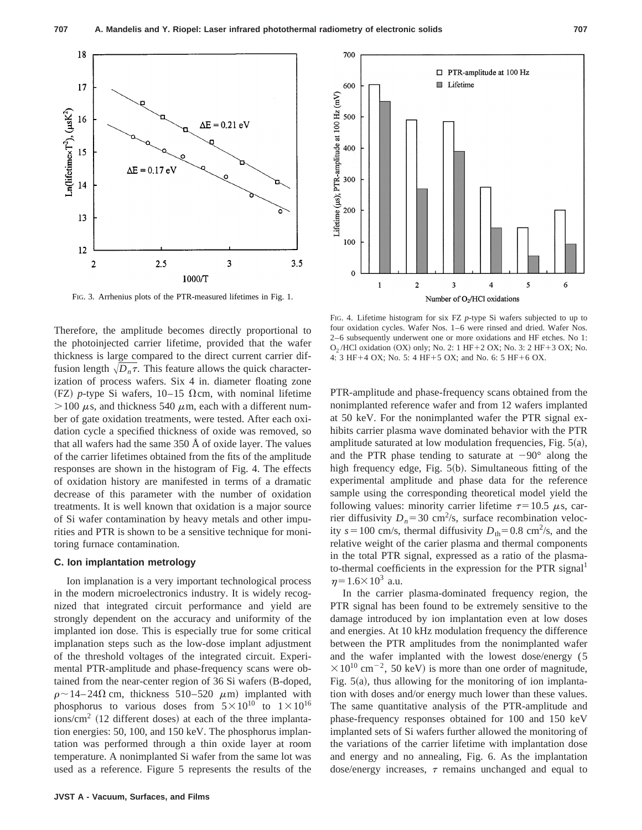

FIG. 3. Arrhenius plots of the PTR-measured lifetimes in Fig. 1.

Therefore, the amplitude becomes directly proportional to the photoinjected carrier lifetime, provided that the wafer thickness is large compared to the direct current carrier diffusion length  $\sqrt{D_n \tau}$ . This feature allows the quick characterization of process wafers. Six 4 in. diameter floating zone  $(FZ)$  *p*-type Si wafers, 10–15  $\Omega$ cm, with nominal lifetime  $>100 \mu$ s, and thickness 540  $\mu$ m, each with a different number of gate oxidation treatments, were tested. After each oxidation cycle a specified thickness of oxide was removed, so that all wafers had the same 350 Å of oxide layer. The values of the carrier lifetimes obtained from the fits of the amplitude responses are shown in the histogram of Fig. 4. The effects of oxidation history are manifested in terms of a dramatic decrease of this parameter with the number of oxidation treatments. It is well known that oxidation is a major source of Si wafer contamination by heavy metals and other impurities and PTR is shown to be a sensitive technique for monitoring furnace contamination.

#### **C. Ion implantation metrology**

Ion implanation is a very important technological process in the modern microelectronics industry. It is widely recognized that integrated circuit performance and yield are strongly dependent on the accuracy and uniformity of the implanted ion dose. This is especially true for some critical implanation steps such as the low-dose implant adjustment of the threshold voltages of the integrated circuit. Experimental PTR-amplitude and phase-frequency scans were obtained from the near-center region of 36 Si wafers (B-doped,  $\rho \sim 14-24\Omega$  cm, thickness 510–520  $\mu$ m) implanted with phosphorus to various doses from  $5 \times 10^{10}$  to  $1 \times 10^{16}$  $\sim$  ions/cm<sup>2</sup> (12 different doses) at each of the three implantation energies: 50, 100, and 150 keV. The phosphorus implantation was performed through a thin oxide layer at room temperature. A nonimplanted Si wafer from the same lot was used as a reference. Figure 5 represents the results of the



FIG. 4. Lifetime histogram for six FZ *p*-type Si wafers subjected to up to four oxidation cycles. Wafer Nos. 1–6 were rinsed and dried. Wafer Nos. 2–6 subsequently underwent one or more oxidations and HF etches. No 1:  $O<sub>2</sub>$ /HCl oxidation  $(OX)$  only; No. 2: 1 HF+2 OX; No. 3: 2 HF+3 OX; No. 4: 3 HF+4 OX; No. 5: 4 HF+5 OX; and No. 6: 5 HF+6 OX.

PTR-amplitude and phase-frequency scans obtained from the nonimplanted reference wafer and from 12 wafers implanted at 50 keV. For the nonimplanted wafer the PTR signal exhibits carrier plasma wave dominated behavior with the PTR amplitude saturated at low modulation frequencies, Fig.  $5(a)$ , and the PTR phase tending to saturate at  $-90^\circ$  along the high frequency edge, Fig.  $5(b)$ . Simultaneous fitting of the experimental amplitude and phase data for the reference sample using the corresponding theoretical model yield the following values: minority carrier lifetime  $\tau=10.5 \mu s$ , carrier diffusivity  $D_n = 30 \text{ cm}^2/\text{s}$ , surface recombination velocity  $s=100$  cm/s, thermal diffusivity  $D_{\text{th}}=0.8 \text{ cm}^2/\text{s}$ , and the relative weight of the carier plasma and thermal components in the total PTR signal, expressed as a ratio of the plasmato-thermal coefficients in the expression for the PTR signal<sup>1</sup>  $\eta$ =1.6×10<sup>3</sup> a.u.

In the carrier plasma-dominated frequency region, the PTR signal has been found to be extremely sensitive to the damage introduced by ion implantation even at low doses and energies. At 10 kHz modulation frequency the difference between the PTR amplitudes from the nonimplanted wafer and the wafer implanted with the lowest dose/energy (5  $\times 10^{10}$  cm<sup>-2</sup>, 50 keV) is more than one order of magnitude, Fig.  $5(a)$ , thus allowing for the monitoring of ion implantation with doses and/or energy much lower than these values. The same quantitative analysis of the PTR-amplitude and phase-frequency responses obtained for 100 and 150 keV implanted sets of Si wafers further allowed the monitoring of the variations of the carrier lifetime with implantation dose and energy and no annealing, Fig. 6. As the implantation dose/energy increases,  $\tau$  remains unchanged and equal to